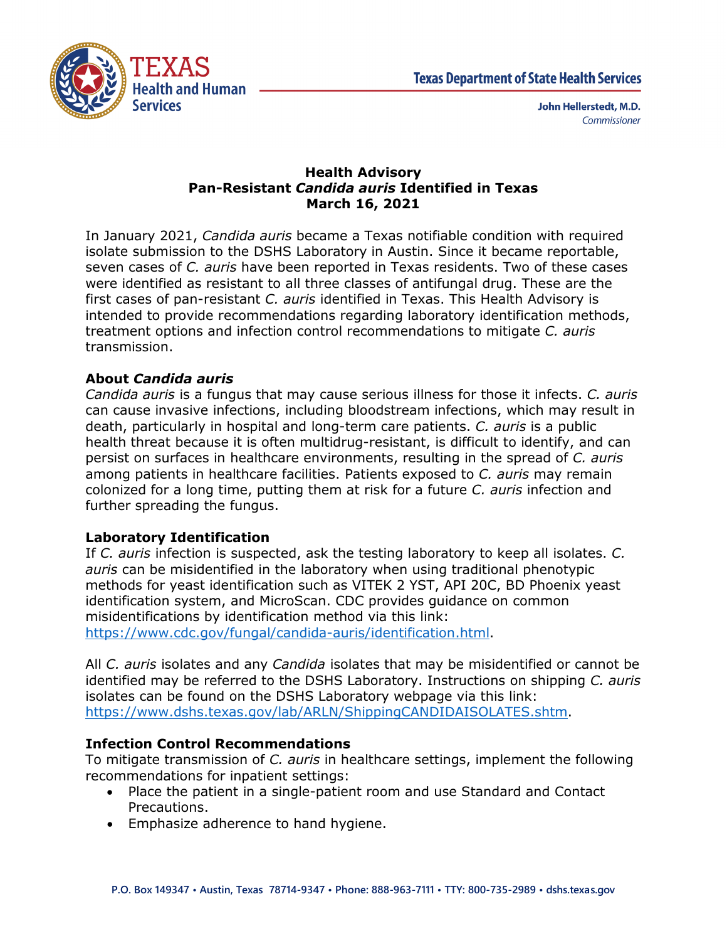

### **Health Advisory Pan-Resistant** *Candida auris* **Identified in Texas March 16, 2021**

In January 2021, *Candida auris* became a Texas notifiable condition with required isolate submission to the DSHS Laboratory in Austin. Since it became reportable, seven cases of *C. auris* have been reported in Texas residents. Two of these cases were identified as resistant to all three classes of antifungal drug. These are the first cases of pan-resistant *C. auris* identified in Texas. This Health Advisory is intended to provide recommendations regarding laboratory identification methods, treatment options and infection control recommendations to mitigate *C. auris* transmission.

# **About** *Candida auris*

*Candida auris* is a fungus that may cause serious illness for those it infects. *C. auris* can cause invasive infections, including bloodstream infections, which may result in death, particularly in hospital and long-term care patients. *C. auris* is a public health threat because it is often multidrug-resistant, is difficult to identify, and can persist on surfaces in healthcare environments, resulting in the spread of *C. auris* among patients in healthcare facilities. Patients exposed to *C. auris* may remain colonized for a long time, putting them at risk for a future *C. auris* infection and further spreading the fungus.

## **Laboratory Identification**

If *C. auris* infection is suspected, ask the testing laboratory to keep all isolates. *C. auris* can be misidentified in the laboratory when using traditional phenotypic methods for yeast identification such as VITEK 2 YST, API 20C, BD Phoenix yeast identification system, and MicroScan. CDC provides guidance on common misidentifications by identification method via this link: [https://www.cdc.gov/fungal/candida-auris/identification.html.](https://www.cdc.gov/fungal/candida-auris/identification.html)

All *C. auris* isolates and any *Candida* isolates that may be misidentified or cannot be identified may be referred to the DSHS Laboratory. Instructions on shipping *C. auris* isolates can be found on the DSHS Laboratory webpage via this link: [https://www.dshs.texas.gov/lab/ARLN/ShippingCANDIDAISOLATES.shtm.](https://www.dshs.texas.gov/lab/ARLN/ShippingCANDIDAISOLATES.shtm)

## **Infection Control Recommendations**

To mitigate transmission of *C. auris* in healthcare settings, implement the following recommendations for inpatient settings:

- Place the patient in a single-patient room and use Standard and Contact Precautions.
- Emphasize adherence to hand hygiene.